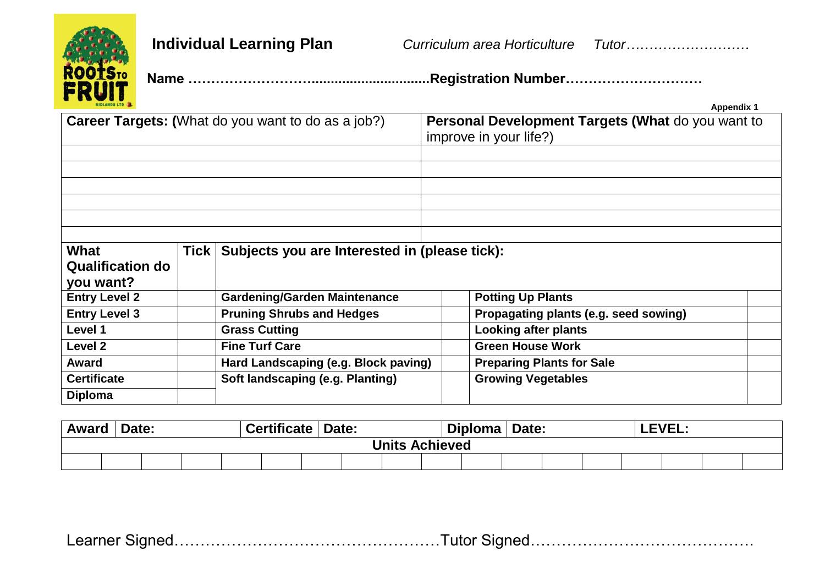

**Individual Learning Plan** *Curriculum area Horticulture Tutor………………………*

 **Name ………………………...............................Registration Number…………………………** 

| <b>MIDLANDS LTD &amp; L</b>                  |             |                                                           |                                                                             | <b>Appendix 1</b>                     |  |  |  |  |
|----------------------------------------------|-------------|-----------------------------------------------------------|-----------------------------------------------------------------------------|---------------------------------------|--|--|--|--|
|                                              |             | <b>Career Targets: (What do you want to do as a job?)</b> | Personal Development Targets (What do you want to<br>improve in your life?) |                                       |  |  |  |  |
|                                              |             |                                                           |                                                                             |                                       |  |  |  |  |
|                                              |             |                                                           |                                                                             |                                       |  |  |  |  |
|                                              |             |                                                           |                                                                             |                                       |  |  |  |  |
| What<br><b>Qualification do</b><br>you want? | <b>Tick</b> | Subjects you are Interested in (please tick):             |                                                                             |                                       |  |  |  |  |
| <b>Entry Level 2</b>                         |             | <b>Gardening/Garden Maintenance</b>                       |                                                                             | <b>Potting Up Plants</b>              |  |  |  |  |
| <b>Entry Level 3</b>                         |             | <b>Pruning Shrubs and Hedges</b>                          |                                                                             | Propagating plants (e.g. seed sowing) |  |  |  |  |
| Level 1                                      |             | <b>Grass Cutting</b>                                      |                                                                             | <b>Looking after plants</b>           |  |  |  |  |
| Level 2                                      |             | <b>Fine Turf Care</b>                                     |                                                                             | <b>Green House Work</b>               |  |  |  |  |
| <b>Award</b>                                 |             | Hard Landscaping (e.g. Block paving)                      |                                                                             | <b>Preparing Plants for Sale</b>      |  |  |  |  |
| <b>Certificate</b>                           |             | Soft landscaping (e.g. Planting)                          |                                                                             | <b>Growing Vegetables</b>             |  |  |  |  |
| <b>Diploma</b>                               |             |                                                           |                                                                             |                                       |  |  |  |  |

| <b>Award</b>          |  | Date: |  |  | <b>Certificate</b> | Date: |  |  |  | <b>Diploma</b> | Date: |  |  |  | <b>LEVEL:</b> |  |  |
|-----------------------|--|-------|--|--|--------------------|-------|--|--|--|----------------|-------|--|--|--|---------------|--|--|
| <b>Units Achieved</b> |  |       |  |  |                    |       |  |  |  |                |       |  |  |  |               |  |  |
|                       |  |       |  |  |                    |       |  |  |  |                |       |  |  |  |               |  |  |

|--|--|